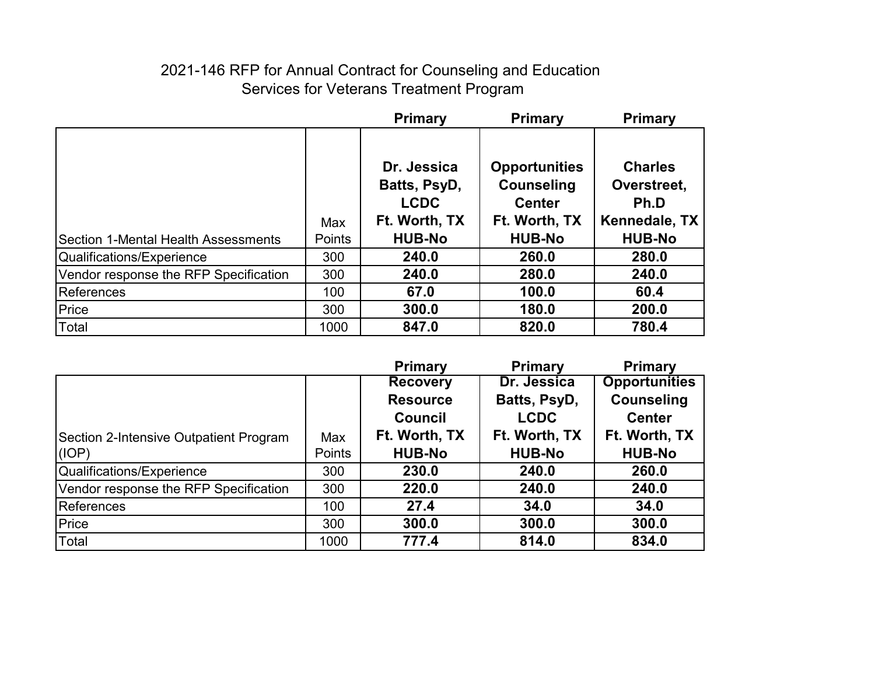## 2021-146 RFP for Annual Contract for Counseling and Education Services for Veterans Treatment Program

|                                            |        | <b>Primary</b>                                              | <b>Primary</b>                                                              | <b>Primary</b>                                         |
|--------------------------------------------|--------|-------------------------------------------------------------|-----------------------------------------------------------------------------|--------------------------------------------------------|
|                                            | Max    | Dr. Jessica<br>Batts, PsyD,<br><b>LCDC</b><br>Ft. Worth, TX | <b>Opportunities</b><br><b>Counseling</b><br><b>Center</b><br>Ft. Worth, TX | <b>Charles</b><br>Overstreet,<br>Ph.D<br>Kennedale, TX |
| <b>Section 1-Mental Health Assessments</b> | Points | <b>HUB-No</b>                                               | <b>HUB-No</b>                                                               | <b>HUB-No</b>                                          |
| Qualifications/Experience                  | 300    | 240.0                                                       | 260.0                                                                       | 280.0                                                  |
| Vendor response the RFP Specification      | 300    | 240.0                                                       | 280.0                                                                       | 240.0                                                  |
| References                                 | 100    | 67.0                                                        | 100.0                                                                       | 60.4                                                   |
| Price                                      | 300    | 300.0                                                       | 180.0                                                                       | 200.0                                                  |
| Total                                      | 1000   | 847.0                                                       | 820.0                                                                       | 780.4                                                  |

|                                        |        | <b>Primary</b>  | <b>Primary</b> | <b>Primary</b>       |
|----------------------------------------|--------|-----------------|----------------|----------------------|
|                                        |        | <b>Recovery</b> | Dr. Jessica    | <b>Opportunities</b> |
|                                        |        | <b>Resource</b> | Batts, PsyD,   | <b>Counseling</b>    |
|                                        |        | <b>Council</b>  | <b>LCDC</b>    | <b>Center</b>        |
| Section 2-Intensive Outpatient Program | Max    | Ft. Worth, TX   | Ft. Worth, TX  | Ft. Worth, TX        |
| (IOP)                                  | Points | <b>HUB-No</b>   | <b>HUB-No</b>  | <b>HUB-No</b>        |
| Qualifications/Experience              | 300    | 230.0           | 240.0          | 260.0                |
| Vendor response the RFP Specification  | 300    | 220.0           | 240.0          | 240.0                |
| References                             | 100    | 27.4            | 34.0           | 34.0                 |
| Price                                  | 300    | 300.0           | 300.0          | 300.0                |
| Total                                  | 1000   | 777.4           | 814.0          | 834.0                |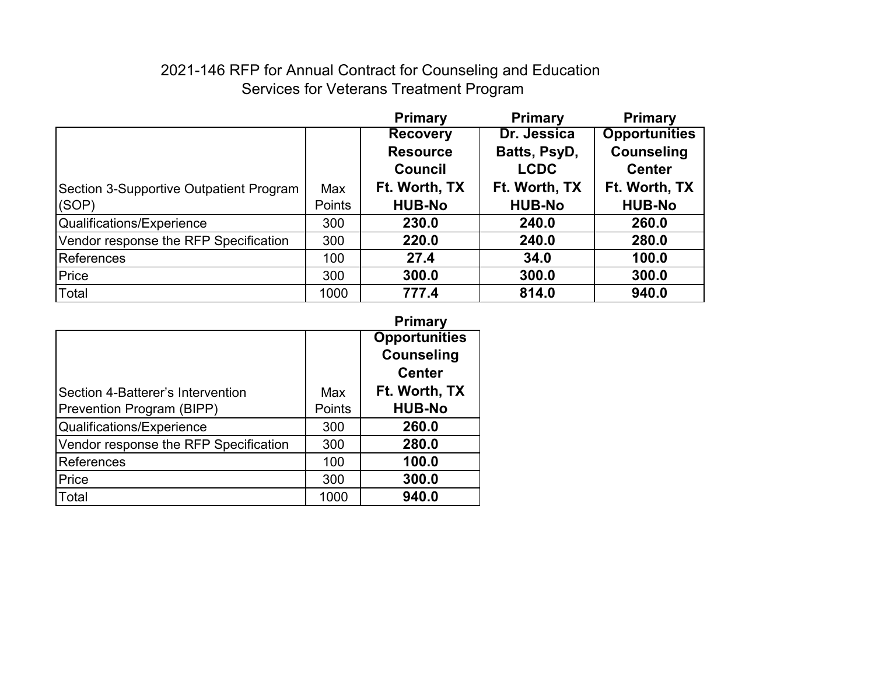## 2021-146 RFP for Annual Contract for Counseling and Education Services for Veterans Treatment Program

|                                         |               | <b>Primary</b>  | <b>Primary</b> | <b>Primary</b>       |
|-----------------------------------------|---------------|-----------------|----------------|----------------------|
|                                         |               | <b>Recovery</b> | Dr. Jessica    | <b>Opportunities</b> |
|                                         |               | <b>Resource</b> | Batts, PsyD,   | <b>Counseling</b>    |
|                                         |               | <b>Council</b>  | <b>LCDC</b>    | <b>Center</b>        |
| Section 3-Supportive Outpatient Program | Max           | Ft. Worth, TX   | Ft. Worth, TX  | Ft. Worth, TX        |
| (SOP)                                   | <b>Points</b> | <b>HUB-No</b>   | <b>HUB-No</b>  | <b>HUB-No</b>        |
| Qualifications/Experience               | 300           | 230.0           | 240.0          | 260.0                |
| Vendor response the RFP Specification   | 300           | 220.0           | 240.0          | 280.0                |
| <b>References</b>                       | 100           | 27.4            | 34.0           | 100.0                |
| Price                                   | 300           | 300.0           | 300.0          | 300.0                |
| Total                                   | 1000          | 777.4           | 814.0          | 940.0                |

|                                       |        | <b>Primary</b>       |
|---------------------------------------|--------|----------------------|
|                                       |        | <b>Opportunities</b> |
|                                       |        | <b>Counseling</b>    |
|                                       |        | <b>Center</b>        |
| Section 4-Batterer's Intervention     | Max    | Ft. Worth, TX        |
| Prevention Program (BIPP)             | Points | <b>HUB-No</b>        |
| Qualifications/Experience             | 300    | 260.0                |
| Vendor response the RFP Specification | 300    | 280.0                |
| References                            | 100    | 100.0                |
| Price                                 | 300    | 300.0                |
| Total                                 | 1000   | 940.0                |